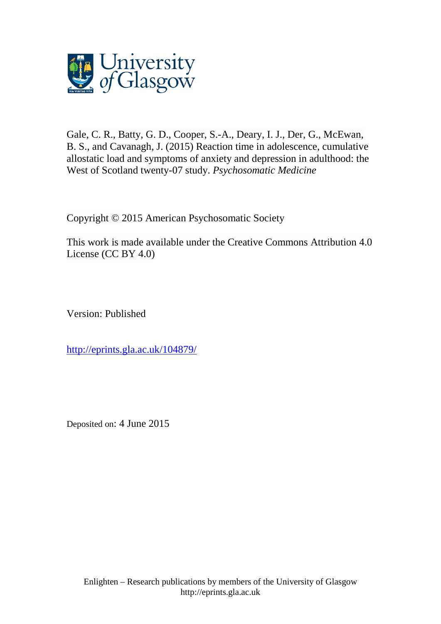

Gale, C. R., [Batty, G. D.,](http://eprints.gla.ac.uk/view/author/5775.html) [Cooper, S.-A.,](http://eprints.gla.ac.uk/view/author/11548.html) Deary, I. J., [Der, G.,](http://eprints.gla.ac.uk/view/author/5915.html) McEwan, B. S., and [Cavanagh, J.](http://eprints.gla.ac.uk/view/author/6165.html) (2015) Reaction time in adolescence, cumulative allostatic load and symptoms of anxiety and depression in adulthood: the West of Scotland twenty-07 study. *[Psychosomatic Medicine](http://eprints.gla.ac.uk/view/journal_volume/Psychosomatic_Medicine.html)*

Copyright © 2015 American Psychosomatic Society

This work is made available under the Creative Commons Attribution 4.0 License (CC BY 4.0)

Version: Published

<http://eprints.gla.ac.uk/104879/>

Deposited on: 4 June 2015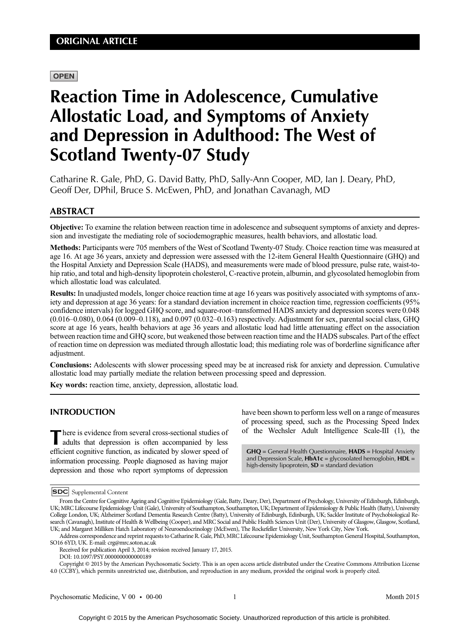# **OPEN**

# Reaction Time in Adolescence, Cumulative Allostatic Load, and Symptoms of Anxiety and Depression in Adulthood: The West of Scotland Twenty-07 Study

Catharine R. Gale, PhD, G. David Batty, PhD, Sally-Ann Cooper, MD, Ian J. Deary, PhD, Geoff Der, DPhil, Bruce S. McEwen, PhD, and Jonathan Cavanagh, MD

# ABSTRACT

Objective: To examine the relation between reaction time in adolescence and subsequent symptoms of anxiety and depression and investigate the mediating role of sociodemographic measures, health behaviors, and allostatic load.

Methods: Participants were 705 members of the West of Scotland Twenty-07 Study. Choice reaction time was measured at age 16. At age 36 years, anxiety and depression were assessed with the 12-item General Health Questionnaire (GHQ) and the Hospital Anxiety and Depression Scale (HADS), and measurements were made of blood pressure, pulse rate, waist-tohip ratio, and total and high-density lipoprotein cholesterol, C-reactive protein, albumin, and glycosolated hemoglobin from which allostatic load was calculated.

Results: In unadjusted models, longer choice reaction time at age 16 years was positively associated with symptoms of anxiety and depression at age 36 years: for a standard deviation increment in choice reaction time, regression coefficients (95% confidence intervals) for logged GHQ score, and square-root–transformed HADS anxiety and depression scores were 0.048 (0.016–0.080), 0.064 (0.009–0.118), and 0.097 (0.032–0.163) respectively. Adjustment for sex, parental social class, GHQ score at age 16 years, health behaviors at age 36 years and allostatic load had little attenuating effect on the association between reaction time and GHQ score, but weakened those between reaction time and the HADS subscales. Part of the effect of reaction time on depression was mediated through allostatic load; this mediating role was of borderline significance after adjustment.

Conclusions: Adolescents with slower processing speed may be at increased risk for anxiety and depression. Cumulative allostatic load may partially mediate the relation between processing speed and depression.

Key words: reaction time, anxiety, depression, allostatic load.

# INTRODUCTION

There is evidence from several cross-sectional studies of adults that depression is often accompanied by less efficient cognitive function, as indicated by slower speed of information processing. People diagnosed as having major depression and those who report symptoms of depression

have been shown to perform less well on a range of measures of processing speed, such as the Processing Speed Index of the Wechsler Adult Intelligence Scale-III (1), the

GHQ = General Health Questionnaire, HADS = Hospital Anxiety and Depression Scale,  $HbA1c =$  glycosolated hemoglobin,  $HDL =$ high-density lipoprotein,  $SD =$  standard deviation

Copyright © 2015 by the American Psychosomatic Society. This is an open access article distributed under the Creative Commons Attribution License 4.0 (CCBY), which permits unrestricted use, distribution, and reproduction in any medium, provided the original work is properly cited.

**SDC** Supplemental Content

From the Centre for Cognitive Ageing and Cognitive Epidemiology (Gale, Batty, Deary, Der), Department of Psychology, University of Edinburgh, Edinburgh, UK; MRC Lifecourse Epidemiology Unit (Gale), University of Southampton, Southampton, UK; Department of Epidemiology & Public Health (Batty), University College London, UK; Alzheimer Scotland Dementia Research Centre (Batty), University of Edinburgh, Edinburgh, UK; Sackler Institute of Psychobiological Research (Cavanagh), Institute of Health & Wellbeing (Cooper), and MRC Social and Public Health Sciences Unit (Der), University of Glasgow, Glasgow, Scotland, UK; and Margaret Milliken Hatch Laboratory of Neuroendocrinology (McEwen), The Rockefeller University, New York City, New York.

Address correspondence and reprint requests to Catharine R. Gale, PhD, MRC Lifecourse Epidemiology Unit, Southampton General Hospital, Southampton, SO16 6YD, UK. E-mail: crg@mrc.soton.ac.uk

Received for publication April 3, 2014; revision received January 17, 2015.

DOI: 10.1097/PSY.0000000000000189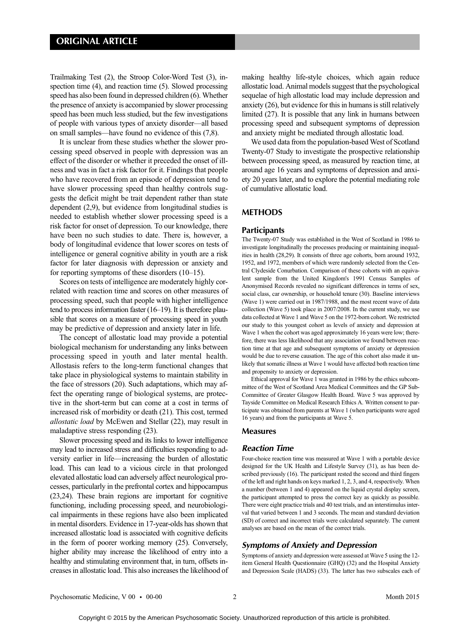Trailmaking Test (2), the Stroop Color-Word Test (3), inspection time (4), and reaction time (5). Slowed processing speed has also been found in depressed children (6). Whether the presence of anxiety is accompanied by slower processing speed has been much less studied, but the few investigations of people with various types of anxiety disorder—all based on small samples—have found no evidence of this (7,8).

It is unclear from these studies whether the slower processing speed observed in people with depression was an effect of the disorder or whether it preceded the onset of illness and was in fact a risk factor for it. Findings that people who have recovered from an episode of depression tend to have slower processing speed than healthy controls suggests the deficit might be trait dependent rather than state dependent (2,9), but evidence from longitudinal studies is needed to establish whether slower processing speed is a risk factor for onset of depression. To our knowledge, there have been no such studies to date. There is, however, a body of longitudinal evidence that lower scores on tests of intelligence or general cognitive ability in youth are a risk factor for later diagnosis with depression or anxiety and for reporting symptoms of these disorders (10–15).

Scores on tests of intelligence are moderately highly correlated with reaction time and scores on other measures of processing speed, such that people with higher intelligence tend to process information faster (16–19). It is therefore plausible that scores on a measure of processing speed in youth may be predictive of depression and anxiety later in life.

The concept of allostatic load may provide a potential biological mechanism for understanding any links between processing speed in youth and later mental health. Allostasis refers to the long-term functional changes that take place in physiological systems to maintain stability in the face of stressors (20). Such adaptations, which may affect the operating range of biological systems, are protective in the short-term but can come at a cost in terms of increased risk of morbidity or death (21). This cost, termed allostatic load by McEwen and Stellar (22), may result in maladaptive stress responding (23).

Slower processing speed and its links to lower intelligence may lead to increased stress and difficulties responding to adversity earlier in life—increasing the burden of allostatic load. This can lead to a vicious circle in that prolonged elevated allostatic load can adversely affect neurological processes, particularly in the prefrontal cortex and hippocampus (23,24). These brain regions are important for cognitive functioning, including processing speed, and neurobiological impairments in these regions have also been implicated in mental disorders. Evidence in 17-year-olds has shown that increased allostatic load is associated with cognitive deficits in the form of poorer working memory (25). Conversely, higher ability may increase the likelihood of entry into a healthy and stimulating environment that, in turn, offsets increases in allostatic load. This also increases the likelihood of making healthy life-style choices, which again reduce allostatic load. Animal models suggest that the psychological sequelae of high allostatic load may include depression and anxiety (26), but evidence for this in humans is still relatively limited (27). It is possible that any link in humans between processing speed and subsequent symptoms of depression and anxiety might be mediated through allostatic load.

We used data from the population-based West of Scotland Twenty-07 Study to investigate the prospective relationship between processing speed, as measured by reaction time, at around age 16 years and symptoms of depression and anxiety 20 years later, and to explore the potential mediating role of cumulative allostatic load.

### **METHODS**

#### **Participants**

The Twenty-07 Study was established in the West of Scotland in 1986 to investigate longitudinally the processes producing or maintaining inequalities in health (28,29). It consists of three age cohorts, born around 1932, 1952, and 1972, members of which were randomly selected from the Central Clydeside Conurbation. Comparison of these cohorts with an equivalent sample from the United Kingdom's 1991 Census Samples of Anonymised Records revealed no significant differences in terms of sex, social class, car ownership, or household tenure (30). Baseline interviews (Wave 1) were carried out in 1987/1988, and the most recent wave of data collection (Wave 5) took place in 2007/2008. In the current study, we use data collected at Wave 1 and Wave 5 on the 1972-born cohort. We restricted our study to this youngest cohort as levels of anxiety and depression at Wave 1 when the cohort was aged approximately 16 years were low; therefore, there was less likelihood that any association we found between reaction time at that age and subsequent symptoms of anxiety or depression would be due to reverse causation. The age of this cohort also made it unlikely that somatic illness at Wave 1 would have affected both reaction time and propensity to anxiety or depression.

Ethical approval for Wave 1 was granted in 1986 by the ethics subcommittee of the West of Scotland Area Medical Committees and the GP Sub-Committee of Greater Glasgow Health Board. Wave 5 was approved by Tayside Committee on Medical Research Ethics A. Written consent to participate was obtained from parents at Wave 1 (when participants were aged 16 years) and from the participants at Wave 5.

#### Measures

#### Reaction Time

Four-choice reaction time was measured at Wave 1 with a portable device designed for the UK Health and Lifestyle Survey (31), as has been described previously (16). The participant rested the second and third fingers of the left and right hands on keys marked 1, 2, 3, and 4, respectively. When a number (between 1 and 4) appeared on the liquid crystal display screen, the participant attempted to press the correct key as quickly as possible. There were eight practice trials and 40 test trials, and an interstimulus interval that varied between 1 and 3 seconds. The mean and standard deviation (SD) of correct and incorrect trials were calculated separately. The current analyses are based on the mean of the correct trials.

#### Symptoms of Anxiety and Depression

Symptoms of anxiety and depression were assessed at Wave 5 using the 12 item General Health Questionnaire (GHQ) (32) and the Hospital Anxiety and Depression Scale (HADS) (33). The latter has two subscales each of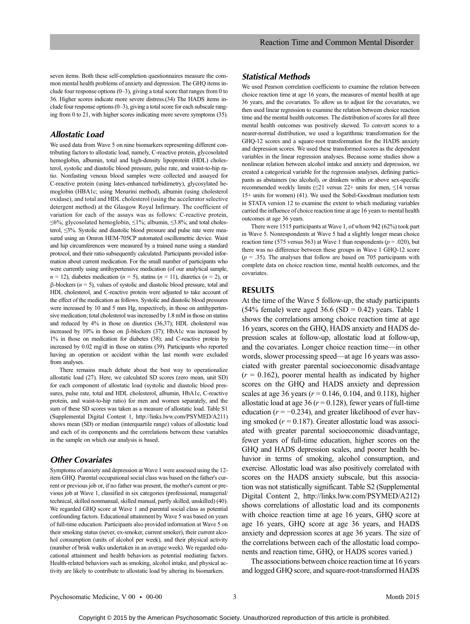seven items. Both these self-completion questionnaires measure the common mental health problems of anxiety and depression. The GHQ items include four response options  $(0-3)$ , giving a total score that ranges from 0 to 36. Higher scores indicate more severe distress.(34) The HADS items include four response options (0–3), giving a total score for each subscale ranging from 0 to 21, with higher scores indicating more severe symptoms (35).

## Allostatic Load

We used data from Wave 5 on nine biomarkers representing different contributing factors to allostatic load, namely, C-reactive protein, glycosolated hemoglobin, albumin, total and high-density lipoprotein (HDL) cholesterol, systolic and diastolic blood pressure, pulse rate, and waist-to-hip ratio. Nonfasting venous blood samples were collected and assayed for C-reactive protein (using latex-enhanced turbidimetry), glycosylated hemoglobin (HBA1c; using Menarini method), albumin (using cholesterol oxidase), and total and HDL cholesterol (using the accelerator selective detergent method) at the Glasgow Royal Infirmary. The coefficient of variation for each of the assays was as follows: C-reactive protein,  $\leq 6\%$ ; glycosolated hemoglobin,  $\leq 1\%$ ; albumin,  $\leq 3.8\%$ ; and total cholesterol, ≤3%. Systolic and diastolic blood pressure and pulse rate were measured using an Omron HEM-705CP automated oscillometric device. Waist and hip circumferences were measured by a trained nurse using a standard protocol, and their ratio subsequently calculated. Participants provided information about current medication. For the small number of participants who were currently using antihypertensive medication (of our analytical sample,  $n = 12$ ), diabetes medication ( $n = 5$ ), statins ( $n = 11$ ), diuretics ( $n = 2$ ), or β-blockers (n = 5), values of systolic and diastolic blood pressure, total and HDL cholesterol, and C-reactive protein were adjusted to take account of the effect of the medication as follows. Systolic and diastolic blood pressures were increased by 10 and 5 mm Hg, respectively, in those on antihypertensive medication; total cholesterol wasincreased by 1.8 mM in those on statins and reduced by 4% in those on diuretics (36,37); HDL cholesterol was increased by 10% in those on β-blockers (37); HbA1c was increased by 1% in those on medication for diabetes (38); and C-reactive protein by increased by 0.02 mg/dl in those on statins (39). Participants who reported having an operation or accident within the last month were excluded from analyses.

There remains much debate about the best way to operationalize allostatic load (27). Here, we calculated SD scores (zero mean, unit SD) for each component of allostatic load (systolic and diastolic blood pressures, pulse rate, total and HDL cholesterol, albumin, HbA1c, C-reactive protein, and waist-to-hip ratio) for men and women separately, and the sum of these SD scores was taken as a measure of allostatic load. Table S1 (Supplemental Digital Content 1,<http://links.lww.com/PSYMED/A211>) shows mean (SD) or median (interquartile range) values of allostatic load and each of its components and the correlations between these variables in the sample on which our analysis is based.

# Other Covariates

Symptoms of anxiety and depression at Wave 1 were assessed using the 12 item GHQ. Parental occupational social class was based on the father's current or previous job or, if no father was present, the mother's current or previous job at Wave 1, classified in six categories (professional, managerial/ technical, skilled nonmanual, skilled manual, partly skilled, unskilled) (40). We regarded GHQ score at Wave 1 and parental social class as potential confounding factors. Educational attainment by Wave 5 was based on years of full-time education. Participants also provided information at Wave 5 on their smoking status (never, ex-smoker, current smoker), their current alcohol consumption (units of alcohol per week), and their physical activity (number of brisk walks undertaken in an average week). We regarded educational attainment and health behaviors as potential mediating factors. Health-related behaviors such as smoking, alcohol intake, and physical activity are likely to contribute to allostatic load by altering its biomarkers.

# Statistical Methods

We used Pearson correlation coefficients to examine the relation between choice reaction time at age 16 years, the measures of mental health at age 36 years, and the covariates. To allow us to adjust for the covariates, we then used linear regression to examine the relation between choice reaction time and the mental health outcomes. The distribution of scores for all three mental health outcomes was positively skewed. To convert scores to a nearer-normal distribution, we used a logarithmic transformation for the GHQ-12 scores and a square-root transformation for the HADS anxiety and depression scores. We used these transformed scores as the dependent variables in the linear regression analyses. Because some studies show a nonlinear relation between alcohol intake and anxiety and depression, we created a categorical variable for the regression analyses, defining participants as abstainers (no alcohol), or drinkers within or above sex-specific recommended weekly limits (≤21 versus 22+ units for men, ≤14 versus 15+ units for women) (41). We used the Sobel-Goodman mediation tests in STATA version 12 to examine the extent to which mediating variables carried the influence of choice reaction time at age 16 years to mental health outcomes at age 36 years.

There were 1515 participants at Wave 1, of whom 942 (62%) took part in Wave 5. Nonrespondents at Wave 5 had a slightly longer mean choice reaction time (575 versus 563) at Wave 1 than respondents ( $p = .020$ ), but there was no difference between these groups in Wave 1 GHQ-12 score  $(p = .35)$ . The analyses that follow are based on 705 participants with complete data on choice reaction time, mental health outcomes, and the covariates.

## RESULTS

At the time of the Wave 5 follow-up, the study participants (54% female) were aged 36.6 (SD = 0.42) years. Table 1 shows the correlations among choice reaction time at age 16 years, scores on the GHQ, HADS anxiety and HADS depression scales at follow-up, allostatic load at follow-up, and the covariates. Longer choice reaction time—in other words, slower processing speed—at age 16 years was associated with greater parental socioeconomic disadvantage  $(r = 0.162)$ , poorer mental health as indicated by higher scores on the GHQ and HADS anxiety and depression scales at age 36 years ( $r = 0.146, 0.104,$  and 0.118), higher allostatic load at age 36 ( $r = 0.128$ ), fewer years of full-time education ( $r = -0.234$ ), and greater likelihood of ever having smoked ( $r = 0.187$ ). Greater allostatic load was associated with greater parental socioeconomic disadvantage, fewer years of full-time education, higher scores on the GHQ and HADS depression scales, and poorer health behavior in terms of smoking, alcohol consumption, and exercise. Allostatic load was also positively correlated with scores on the HADS anxiety subscale, but this association was not statistically significant. Table S2 (Supplemental Digital Content 2,<http://links.lww.com/PSYMED/A212>) shows correlations of allostatic load and its components with choice reaction time at age 16 years, GHQ score at age 16 years, GHQ score at age 36 years, and HADS anxiety and depression scores at age 36 years. The size of the correlations between each of the allostatic load components and reaction time, GHQ, or HADS scores varied.)

The associations between choice reaction time at 16 years and logged GHQ score, and square-root-transformed HADS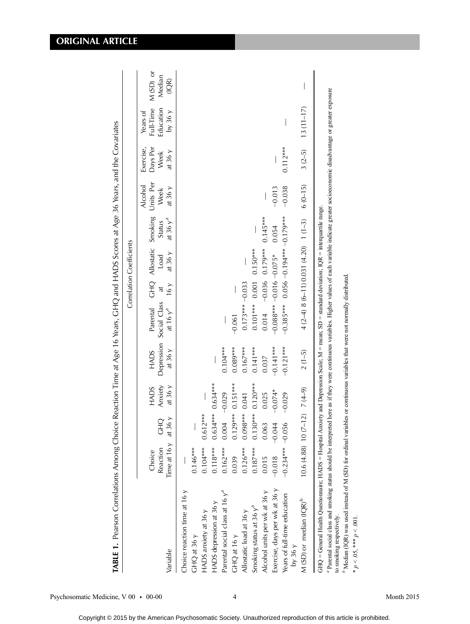| ֖֖֢ׅ֦֦֚֚֚֚֚֡֝֓֕֓֓֓֓֡֓֓֓֡֓֓֡֬֓֓֓֡֬֓֓֞֓֡֝֬֓֓֞֓֓֡֬֓֓֞֓֡֬֓֓֞֓֡֬֓֓֞֬֓֓֞֬֝֓   |
|-------------------------------------------------------------------------|
|                                                                         |
|                                                                         |
|                                                                         |
| l                                                                       |
|                                                                         |
|                                                                         |
|                                                                         |
|                                                                         |
|                                                                         |
|                                                                         |
|                                                                         |
|                                                                         |
|                                                                         |
|                                                                         |
|                                                                         |
| i<br>ł                                                                  |
| J<br>l<br>١<br>ı                                                        |
| ţ<br>¢<br>J                                                             |
| ¢<br>5<br>ļ                                                             |
| ֦<br>ī<br>$\overline{\phantom{a}}$<br>l<br>I<br>J                       |
| $\overline{\phantom{a}}$<br>ţ<br>$\overline{\mathbf{C}}$<br>١<br>į<br>j |
| j<br>Ć<br>Č<br>:<br>$\overline{\phantom{a}}$<br>١                       |
| ۳                                                                       |
| j<br>4<br>l                                                             |
| TABL.                                                                   |

Correlation Coefficients

Correlation Coefficients

| Variable                                                                                                                                                                                                                                                                                                                                                                                                                                                                                                                                      | Time at 16 y<br>Reaction<br>Choice     | at $36y$<br><b>CHO</b>             | Anxiety<br>at $36y$<br>HADS    | <b>HADS</b><br>at $36y$  | Parental<br>Depression Social Class<br>at 16 $y^a$ | 16y<br>$\ddot{a}$ | at $36y$<br>Load                              | at $36y^a$<br><b>Status</b> | GHQ Allostatic Smoking Units Per<br>Alcohol<br>Week<br>at $36y$ | Days Per<br>Exercise,<br>at $36y$<br>Week | Full-Time<br>Education<br>by 36y<br>Years of | M(SD) or<br>Median<br>(IQ) |
|-----------------------------------------------------------------------------------------------------------------------------------------------------------------------------------------------------------------------------------------------------------------------------------------------------------------------------------------------------------------------------------------------------------------------------------------------------------------------------------------------------------------------------------------------|----------------------------------------|------------------------------------|--------------------------------|--------------------------|----------------------------------------------------|-------------------|-----------------------------------------------|-----------------------------|-----------------------------------------------------------------|-------------------------------------------|----------------------------------------------|----------------------------|
| Choice reaction time at 16 y<br>HADS depression at 36 y<br>HADS anxiety at 36 y<br>$CHQ$ at 36 $y$                                                                                                                                                                                                                                                                                                                                                                                                                                            | $0.104***$<br>$0.118***$<br>$0.146***$ | $0.634***$ 0.634 ***<br>$0.612***$ |                                |                          |                                                    |                   |                                               |                             |                                                                 |                                           |                                              |                            |
| Parental social class at 16 $y^a$<br>GHQ at 16 y                                                                                                                                                                                                                                                                                                                                                                                                                                                                                              | $0.162***$<br>0.039                    | 0.004                              | $0.129***0.151***$<br>$-0.029$ | $0.089***$<br>$0.104***$ | $-0.061$                                           |                   |                                               |                             |                                                                 |                                           |                                              |                            |
| Smoking status at 36 $y^a$<br>Allostatic load at 36 y                                                                                                                                                                                                                                                                                                                                                                                                                                                                                         | $0.187***$<br>$0.126***$               | $0.098***$<br>$0.130***$           | $0.120***$<br>0.041            | $0.167***$<br>$0.141***$ | 0.1010010010101<br>$0.173***-0.033$                |                   |                                               |                             |                                                                 |                                           |                                              |                            |
| Exercise, days per wk at 36 y<br>Alcohol units per wk at 36 y                                                                                                                                                                                                                                                                                                                                                                                                                                                                                 | $-0.018$<br>0.015                      | $-0.044$<br>0.063                  | $-0.074*$<br>0.025             | $-0.141***$<br>0.037     | $-0.088***-0.016-0.075*$<br>0.014                  |                   | $-0.036$ 0.179***                             | $0.145***$<br>0.054         | $-0.013$                                                        |                                           |                                              |                            |
| Years of full-time education<br>by 36y                                                                                                                                                                                                                                                                                                                                                                                                                                                                                                        | $-0.234*** -0.056$                     |                                    | $-0.029$                       | $-0.121***$              | $-0.385$ *** 0.050 $-0.195$ 0.050 $-179$ ***       |                   |                                               |                             | $-0.038$                                                        | $0.112***$                                |                                              |                            |
| $M(SD)$ or median (IQR) <sup>b</sup>                                                                                                                                                                                                                                                                                                                                                                                                                                                                                                          | $10.6(4.88)$ $10(7-12)$ $7(4-9)$       |                                    |                                | $2(1-5)$                 |                                                    |                   | $4(2-4) 8(6-11) 0.031(4.20)$ 1 (1-3) 6 (0-15) |                             |                                                                 | $3(2-5)$                                  | $13(11-17)$                                  |                            |
| <sup>1</sup> Parental social class and smoking status should be interpreted here as if they were continuous variables. Higher values of each variable indicate greater socioeconomic disadvantage or greater exposure<br>GHQ = General Health Questionnaire; HADS = Hospital Anxiety and Depression Scale; M = mean; SD = standard deviation; IQR = interquartile range.<br><sup>6</sup> Median (IQR) was used instead of M (SD) for ordinal variables or continuous variables that were not normally distributed<br>to smoking respectively. |                                        |                                    |                                |                          |                                                    |                   |                                               |                             |                                                                 |                                           |                                              |                            |

\*\*  $p < 0.05$ , \*\*\*

 $p < 0.001$ .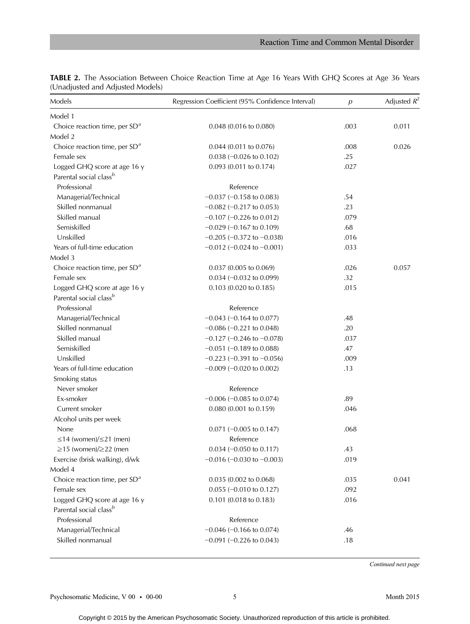| Models                             | Regression Coefficient (95% Confidence Interval) | $\boldsymbol{p}$ | Adjusted $R^2$ |
|------------------------------------|--------------------------------------------------|------------------|----------------|
| Model 1                            |                                                  |                  |                |
| Choice reaction time, per $SDa$    | 0.048 (0.016 to 0.080)                           | .003             | 0.011          |
| Model 2                            |                                                  |                  |                |
| Choice reaction time, per $SDa$    | $0.044$ (0.011 to 0.076)                         | .008             | 0.026          |
| Female sex                         | $0.038 (-0.026 \text{ to } 0.102)$               | .25              |                |
| Logged GHQ score at age 16 y       | $0.093$ (0.011 to 0.174)                         | .027             |                |
| Parental social class <sup>b</sup> |                                                  |                  |                |
| Professional                       | Reference                                        |                  |                |
| Managerial/Technical               | $-0.037$ ( $-0.158$ to 0.083)                    | .54              |                |
| Skilled nonmanual                  | $-0.082$ ( $-0.217$ to 0.053)                    | .23              |                |
| Skilled manual                     | $-0.107$ ( $-0.226$ to 0.012)                    | .079             |                |
| Semiskilled                        | $-0.029$ ( $-0.167$ to 0.109)                    | .68              |                |
| Unskilled                          | $-0.205$ ( $-0.372$ to $-0.038$ )                | .016             |                |
| Years of full-time education       | $-0.012$ ( $-0.024$ to $-0.001$ )                | .033             |                |
| Model 3                            |                                                  |                  |                |
| Choice reaction time, per $SDa$    | $0.037$ (0.005 to 0.069)                         | .026             | 0.057          |
| Female sex                         | $0.034 (-0.032$ to 0.099)                        | .32              |                |
| Logged GHQ score at age 16 y       | 0.103 (0.020 to 0.185)                           | .015             |                |
| Parental social class <sup>b</sup> |                                                  |                  |                |
| Professional                       | Reference                                        |                  |                |
| Managerial/Technical               | $-0.043$ ( $-0.164$ to 0.077)                    | .48              |                |
| Skilled nonmanual                  | $-0.086 (-0.221$ to 0.048)                       | .20              |                |
| Skilled manual                     | $-0.127$ (-0.246 to $-0.078$ )                   | .037             |                |
| Semiskilled                        | $-0.051$ ( $-0.189$ to 0.088)                    | .47              |                |
| Unskilled                          | $-0.223$ ( $-0.391$ to $-0.056$ )                | .009             |                |
| Years of full-time education       | $-0.009$ ( $-0.020$ to 0.002)                    | .13              |                |
| Smoking status                     |                                                  |                  |                |
| Never smoker                       | Reference                                        |                  |                |
| Ex-smoker                          | $-0.006$ ( $-0.085$ to 0.074)                    | .89              |                |
| Current smoker                     | $0.080$ (0.001 to 0.159)                         | .046             |                |
| Alcohol units per week             |                                                  |                  |                |
| None                               | $0.071$ (-0.005 to 0.147)                        | .068             |                |
| $\leq$ 14 (women)/ $\leq$ 21 (men) | Reference                                        |                  |                |
| $\geq$ 15 (women)/ $\geq$ 22 (men  | $0.034 (-0.050$ to $0.117)$                      | .43              |                |
| Exercise (brisk walking), d/wk     | $-0.016$ ( $-0.030$ to $-0.003$ )                | .019             |                |
| Model 4                            |                                                  |                  |                |
| Choice reaction time, per $SDa$    | 0.035 (0.002 to 0.068)                           | .035             | 0.041          |
| Female sex                         | $0.055$ (-0.010 to 0.127)                        | .092             |                |
| Logged GHQ score at age 16 y       | $0.101$ (0.018 to 0.183)                         | .016             |                |
| Parental social class <sup>b</sup> |                                                  |                  |                |
| Professional                       | Reference                                        |                  |                |
| Managerial/Technical               | $-0.046$ ( $-0.166$ to 0.074)                    | .46              |                |
| Skilled nonmanual                  | $-0.091$ ( $-0.226$ to 0.043)                    | .18              |                |

TABLE 2. The Association Between Choice Reaction Time at Age 16 Years With GHQ Scores at Age 36 Years (Unadjusted and Adjusted Models)

Continued next page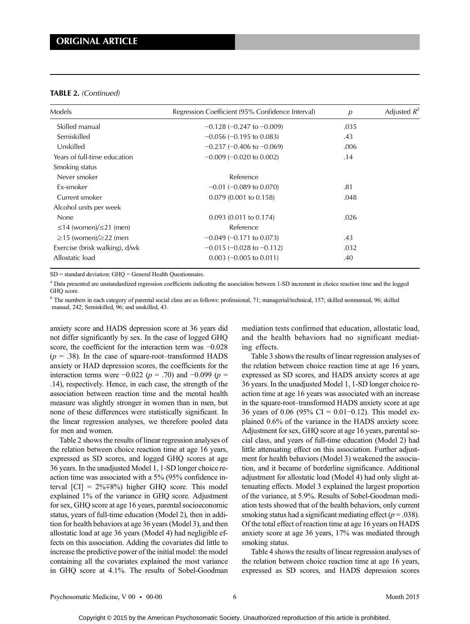#### TABLE 2. (Continued)

| Models                             | Regression Coefficient (95% Confidence Interval) | $\boldsymbol{p}$ | Adjusted $R^2$ |
|------------------------------------|--------------------------------------------------|------------------|----------------|
| Skilled manual                     | $-0.128$ (-0.247 to $-0.009$ )                   | .035             |                |
| Semiskilled                        | $-0.056$ ( $-0.195$ to 0.083)                    | .43              |                |
| Unskilled                          | $-0.237$ ( $-0.406$ to $-0.069$ )                | .006             |                |
| Years of full-time education       | $-0.009$ ( $-0.020$ to 0.002)                    | .14              |                |
| Smoking status                     |                                                  |                  |                |
| Never smoker                       | Reference                                        |                  |                |
| Ex-smoker                          | $-0.01$ ( $-0.089$ to 0.070)                     | .81              |                |
| Current smoker                     | $0.079(0.001)$ to $0.158$ )                      | .048             |                |
| Alcohol units per week             |                                                  |                  |                |
| None                               | $0.093(0.011)$ to $0.174$ )                      | .026             |                |
| $\leq$ 14 (women)/ $\leq$ 21 (men) | Reference                                        |                  |                |
| $\geq$ 15 (women)/ $\geq$ 22 (men  | $-0.049$ ( $-0.171$ to 0.073)                    | .43              |                |
| Exercise (brisk walking), d/wk     | $-0.015$ ( $-0.028$ to $-0.112$ )                | .032             |                |
| Allostatic load                    | $0.003$ (-0.005 to 0.011)                        | .40              |                |

SD = standard deviation; GHQ = General Health Questionnaire.

<sup>a</sup> Data presented are unstandardized regression coefficients indicating the association between 1-SD increment in choice reaction time and the logged GHO score.

 $<sup>b</sup>$  The numbers in each category of parental social class are as follows: professional, 71; managerial/technical, 157; skilled nonmanual, 96; skilled</sup> manual, 242; Semiskilled, 96; and unskilled, 43.

anxiety score and HADS depression score at 36 years did not differ significantly by sex. In the case of logged GHQ score, the coefficient for the interaction term was −0.028  $(p = .38)$ . In the case of square-root-transformed HADS anxiety or HAD depression scores, the coefficients for the interaction terms were −0.022 ( $p = .70$ ) and −0.099 ( $p =$ .14), respectively. Hence, in each case, the strength of the association between reaction time and the mental health measure was slightly stronger in women than in men, but none of these differences were statistically significant. In the linear regression analyses, we therefore pooled data for men and women.

Table 2 shows the results of linear regression analyses of the relation between choice reaction time at age 16 years, expressed as SD scores, and logged GHQ scores at age 36 years. In the unadjusted Model 1, 1-SD longer choice reaction time was associated with a 5% (95% confidence interval [CI] = 2%∓8%) higher GHQ score. This model explained 1% of the variance in GHQ score. Adjustment for sex, GHQ score at age 16 years, parental socioeconomic status, years of full-time education (Model 2), then in addition for health behaviors at age 36 years (Model 3), and then allostatic load at age 36 years (Model 4) had negligible effects on this association. Adding the covariates did little to increase the predictive power of the initial model: the model containing all the covariates explained the most variance in GHQ score at 4.1%. The results of Sobel-Goodman mediation tests confirmed that education, allostatic load, and the health behaviors had no significant mediating effects.

Table 3 shows the results of linear regression analyses of the relation between choice reaction time at age 16 years, expressed as SD scores, and HADS anxiety scores at age 36 years. In the unadjusted Model 1, 1-SD longer choice reaction time at age 16 years was associated with an increase in the square-root–transformed HADS anxiety score at age 36 years of 0.06 (95% CI = 0.01−0.12). This model explained 0.6% of the variance in the HADS anxiety score. Adjustment for sex, GHQ score at age 16 years, parental social class, and years of full-time education (Model 2) had little attenuating effect on this association. Further adjustment for health behaviors (Model 3) weakened the association, and it became of borderline significance. Additional adjustment for allostatic load (Model 4) had only slight attenuating effects. Model 3 explained the largest proportion of the variance, at 5.9%. Results of Sobel-Goodman mediation tests showed that of the health behaviors, only current smoking status had a significant mediating effect ( $p = .038$ ). Of the total effect of reaction time at age 16 years on HADS anxiety score at age 36 years, 17% was mediated through smoking status.

Table 4 shows the results of linear regression analyses of the relation between choice reaction time at age 16 years, expressed as SD scores, and HADS depression scores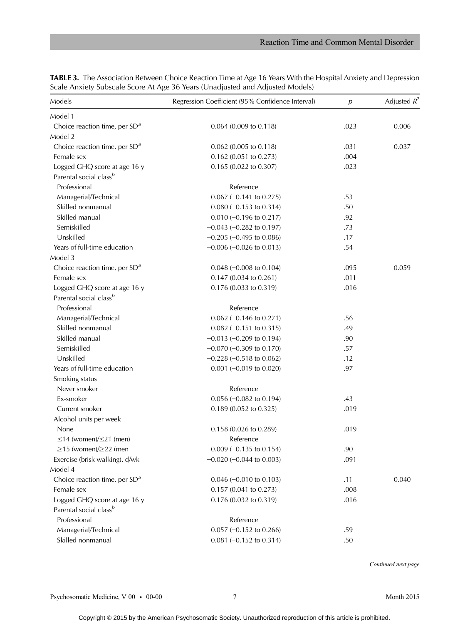| Models                             | Regression Coefficient (95% Confidence Interval) | p    | Adjusted $R^2$ |
|------------------------------------|--------------------------------------------------|------|----------------|
| Model 1                            |                                                  |      |                |
| Choice reaction time, per $SDa$    | 0.064 (0.009 to 0.118)                           | .023 | 0.006          |
| Model 2                            |                                                  |      |                |
| Choice reaction time, per $SDa$    | $0.062$ (0.005 to 0.118)                         | .031 | 0.037          |
| Female sex                         | 0.162 (0.051 to 0.273)                           | .004 |                |
| Logged GHQ score at age 16 y       | 0.165 (0.022 to 0.307)                           | .023 |                |
| Parental social class <sup>b</sup> |                                                  |      |                |
| Professional                       | Reference                                        |      |                |
| Managerial/Technical               | $0.067$ (-0.141 to 0.275)                        | .53  |                |
| Skilled nonmanual                  | $0.080 (-0.153$ to 0.314)                        | .50  |                |
| Skilled manual                     | $0.010 (-0.196 \text{ to } 0.217)$               | .92  |                |
| Semiskilled                        | $-0.043$ ( $-0.282$ to 0.197)                    | .73  |                |
| Unskilled                          | $-0.205$ ( $-0.495$ to 0.086)                    | .17  |                |
| Years of full-time education       | $-0.006$ ( $-0.026$ to 0.013)                    | .54  |                |
| Model 3                            |                                                  |      |                |
| Choice reaction time, per $SDa$    | $0.048 (-0.008 \text{ to } 0.104)$               | .095 | 0.059          |
| Female sex                         | 0.147 (0.034 to 0.261)                           | .011 |                |
| Logged GHQ score at age 16 y       | 0.176 (0.033 to 0.319)                           | .016 |                |
| Parental social class <sup>b</sup> |                                                  |      |                |
| Professional                       | Reference                                        |      |                |
| Managerial/Technical               | $0.062$ (-0.146 to 0.271)                        | .56  |                |
| Skilled nonmanual                  | $0.082$ (-0.151 to 0.315)                        | .49  |                |
| Skilled manual                     | $-0.013$ ( $-0.209$ to 0.194)                    | .90  |                |
| Semiskilled                        | $-0.070$ ( $-0.309$ to 0.170)                    | .57  |                |
| Unskilled                          | $-0.228 (-0.518$ to 0.062)                       | .12  |                |
| Years of full-time education       | $0.001$ (-0.019 to 0.020)                        | .97  |                |
| Smoking status                     |                                                  |      |                |
| Never smoker                       | Reference                                        |      |                |
| Ex-smoker                          | $0.056$ (-0.082 to 0.194)                        | .43  |                |
| Current smoker                     | 0.189 (0.052 to 0.325)                           | .019 |                |
| Alcohol units per week             |                                                  |      |                |
| <b>None</b>                        | $0.158(0.026 \text{ to } 0.289)$                 | .019 |                |
| $\leq$ 14 (women)/ $\leq$ 21 (men) | Reference                                        |      |                |
| $\geq$ 15 (women)/ $\geq$ 22 (men  | $0.009$ (-0.135 to 0.154)                        | .90  |                |
| Exercise (brisk walking), d/wk     | $-0.020$ ( $-0.044$ to 0.003)                    | .091 |                |
| Model 4                            |                                                  |      |                |
| Choice reaction time, per $SDa$    | $0.046$ (-0.010 to 0.103)                        | .11  | 0.040          |
| Female sex                         | $0.157$ (0.041 to 0.273)                         | .008 |                |
| Logged GHQ score at age 16 y       | $0.176$ (0.032 to 0.319)                         | .016 |                |
| Parental social class <sup>b</sup> |                                                  |      |                |
| Professional                       | Reference                                        |      |                |
| Managerial/Technical               | $0.057$ (-0.152 to 0.266)                        | .59  |                |
| Skilled nonmanual                  | $0.081 (-0.152 \text{ to } 0.314)$               | .50  |                |

TABLE 3. The Association Between Choice Reaction Time at Age 16 Years With the Hospital Anxiety and Depression Scale Anxiety Subscale Score At Age 36 Years (Unadjusted and Adjusted Models)

Continued next page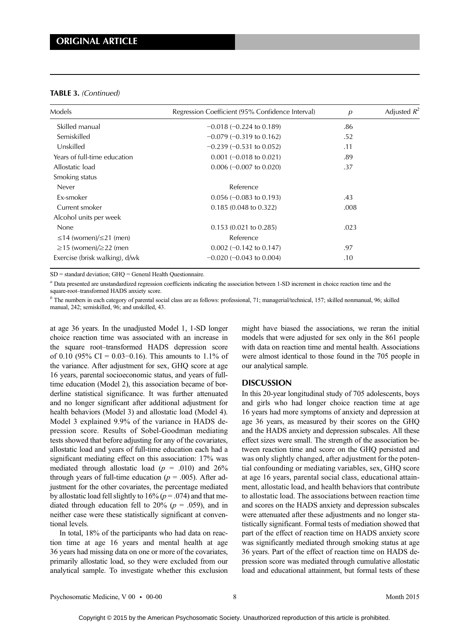### TABLE 3. (Continued)

| Models                             | Regression Coefficient (95% Confidence Interval) | $\overline{p}$ | Adjusted $R^2$ |
|------------------------------------|--------------------------------------------------|----------------|----------------|
| Skilled manual                     | $-0.018 (-0.224 \text{ to } 0.189)$              | .86            |                |
| Semiskilled                        | $-0.079$ ( $-0.319$ to 0.162)                    | .52            |                |
| Unskilled                          | $-0.239$ ( $-0.531$ to 0.052)                    | .11            |                |
| Years of full-time education       | $0.001$ (-0.018 to 0.021)                        | .89            |                |
| Allostatic load                    | $0.006 (-0.007 \text{ to } 0.020)$               | .37            |                |
| Smoking status                     |                                                  |                |                |
| <b>Never</b>                       | Reference                                        |                |                |
| Ex-smoker                          | $0.056 (-0.083 \text{ to } 0.193)$               | .43            |                |
| Current smoker                     | $0.185(0.048 \text{ to } 0.322)$                 | .008           |                |
| Alcohol units per week             |                                                  |                |                |
| None                               | $0.153(0.021)$ to $0.285$ )                      | .023           |                |
| $\leq$ 14 (women)/ $\leq$ 21 (men) | Reference                                        |                |                |
| $\geq$ 15 (women)/ $\geq$ 22 (men  | $0.002$ (-0.142 to 0.147)                        | .97            |                |
| Exercise (brisk walking), d/wk     | $-0.020$ ( $-0.043$ to 0.004)                    | .10            |                |

SD = standard deviation; GHQ = General Health Questionnaire.

<sup>a</sup> Data presented are unstandardized regression coefficients indicating the association between 1-SD increment in choice reaction time and the square-root–transformed HADS anxiety score.

 $<sup>b</sup>$  The numbers in each category of parental social class are as follows: professional, 71; managerial/technical, 157; skilled nonmanual, 96; skilled</sup> manual, 242; semiskilled, 96; and unskilled, 43.

at age 36 years. In the unadjusted Model 1, 1-SD longer choice reaction time was associated with an increase in the square root–transformed HADS depression score of 0.10 (95% CI = 0.03–0.16). This amounts to 1.1% of the variance. After adjustment for sex, GHQ score at age 16 years, parental socioeconomic status, and years of fulltime education (Model 2), this association became of borderline statistical significance. It was further attenuated and no longer significant after additional adjustment for health behaviors (Model 3) and allostatic load (Model 4). Model 3 explained 9.9% of the variance in HADS depression score. Results of Sobel-Goodman mediating tests showed that before adjusting for any of the covariates, allostatic load and years of full-time education each had a significant mediating effect on this association: 17% was mediated through allostatic load ( $p = .010$ ) and 26% through years of full-time education ( $p = .005$ ). After adjustment for the other covariates, the percentage mediated by allostatic load fell slightly to  $16\%$  ( $p = .074$ ) and that mediated through education fell to 20% ( $p = .059$ ), and in neither case were these statistically significant at conventional levels.

In total, 18% of the participants who had data on reaction time at age 16 years and mental health at age 36 years had missing data on one or more of the covariates, primarily allostatic load, so they were excluded from our analytical sample. To investigate whether this exclusion might have biased the associations, we reran the initial models that were adjusted for sex only in the 861 people with data on reaction time and mental health. Associations were almost identical to those found in the 705 people in our analytical sample.

### **DISCUSSION**

In this 20-year longitudinal study of 705 adolescents, boys and girls who had longer choice reaction time at age 16 years had more symptoms of anxiety and depression at age 36 years, as measured by their scores on the GHQ and the HADS anxiety and depression subscales. All these effect sizes were small. The strength of the association between reaction time and score on the GHQ persisted and was only slightly changed, after adjustment for the potential confounding or mediating variables, sex, GHQ score at age 16 years, parental social class, educational attainment, allostatic load, and health behaviors that contribute to allostatic load. The associations between reaction time and scores on the HADS anxiety and depression subscales were attenuated after these adjustments and no longer statistically significant. Formal tests of mediation showed that part of the effect of reaction time on HADS anxiety score was significantly mediated through smoking status at age 36 years. Part of the effect of reaction time on HADS depression score was mediated through cumulative allostatic load and educational attainment, but formal tests of these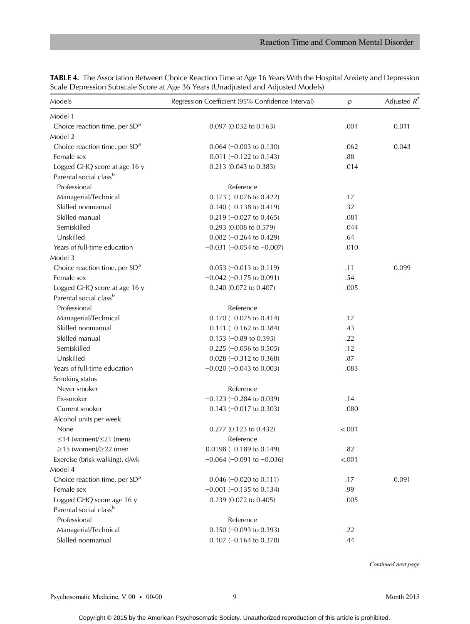| Models                             | Regression Coefficient (95% Confidence Interval) | $\overline{p}$ | Adjusted $R^2$ |
|------------------------------------|--------------------------------------------------|----------------|----------------|
| Model 1                            |                                                  |                |                |
| Choice reaction time, per $SDa$    | $0.097$ (0.032 to 0.163)                         | .004           | 0.011          |
| Model 2                            |                                                  |                |                |
| Choice reaction time, per $SDa$    | $0.064 (-0.003$ to $0.130)$                      | .062           | 0.043          |
| Female sex                         | $0.011$ (-0.122 to 0.143)                        | .88            |                |
| Logged GHQ score at age 16 y       | $0.213(0.043 \text{ to } 0.383)$                 | .014           |                |
| Parental social class <sup>b</sup> |                                                  |                |                |
| Professional                       | Reference                                        |                |                |
| Managerial/Technical               | 0.173 ( $-0.076$ to 0.422)                       | .17            |                |
| Skilled nonmanual                  | $0.140 (-0.138$ to $0.419)$                      | .32            |                |
| Skilled manual                     | 0.219 ( $-0.027$ to 0.465)                       | .081           |                |
| Semiskilled                        | $0.293$ (0.008 to 0.579)                         | .044           |                |
| Unskilled                          | $0.082 (-0.264 \text{ to } 0.429)$               | .64            |                |
| Years of full-time education       | $-0.031$ ( $-0.054$ to $-0.007$ )                | .010           |                |
| Model 3                            |                                                  |                |                |
| Choice reaction time, per $SDa$    | $0.053 (-0.013$ to $0.119)$                      | .11            | 0.099          |
| Female sex                         | $-0.042$ ( $-0.175$ to 0.091)                    | .54            |                |
| Logged GHQ score at age 16 y       | 0.240 (0.072 to 0.407)                           | .005           |                |
| Parental social class <sup>b</sup> |                                                  |                |                |
| Professional                       | Reference                                        |                |                |
| Managerial/Technical               | $0.170 (-0.075$ to 0.414)                        | .17            |                |
| Skilled nonmanual                  | $0.111 (-0.162 \text{ to } 0.384)$               | .43            |                |
| Skilled manual                     | $0.153$ (-0.89 to 0.395)                         | .22            |                |
| Semiskilled                        | $0.225$ (-0.056 to 0.505)                        | .12            |                |
| Unskilled                          | $0.028 (-0.312$ to $0.368)$                      | .87            |                |
| Years of full-time education       | $-0.020$ ( $-0.043$ to 0.003)                    | .083           |                |
| Smoking status                     |                                                  |                |                |
| Never smoker                       | Reference                                        |                |                |
| Ex-smoker                          | $-0.123$ ( $-0.284$ to 0.039)                    | .14            |                |
| Current smoker                     | $0.143$ (-0.017 to 0.303)                        | .080           |                |
| Alcohol units per week             |                                                  |                |                |
| None                               | 0.277 (0.123 to 0.432)                           | < .001         |                |
| $\leq$ 14 (women)/ $\leq$ 21 (men) | Reference                                        |                |                |
| $\geq$ 15 (women)/ $\geq$ 22 (men  | $-0.0198 (-0.189)$ to 0.149)                     | .82            |                |
| Exercise (brisk walking), d/wk     | $-0.064$ ( $-0.091$ to $-0.036$ )                | < .001         |                |
| Model 4                            |                                                  |                |                |
| Choice reaction time, per $SDa$    | $0.046$ (-0.020 to 0.111)                        | .17            | 0.091          |
| Female sex                         | $-0.001$ ( $-0.135$ to 0.134)                    | .99            |                |
| Logged GHQ score age 16 y          | $0.239$ (0.072 to 0.405)                         | .005           |                |
| Parental social class <sup>b</sup> |                                                  |                |                |
| Professional                       | Reference                                        |                |                |
| Managerial/Technical               | $0.150 (-0.093$ to 0.393)                        | .22            |                |
| Skilled nonmanual                  | $0.107$ (-0.164 to 0.378)                        | .44            |                |

TABLE 4. The Association Between Choice Reaction Time at Age 16 Years With the Hospital Anxiety and Depression Scale Depression Subscale Score at Age 36 Years (Unadjusted and Adjusted Models)

Continued next page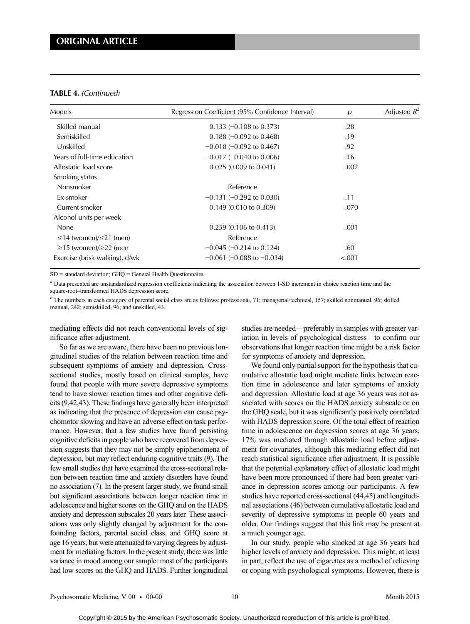#### TABLE 4. (Continued)

| Models                             | Regression Coefficient (95% Confidence Interval) | $\overline{p}$ | Adjusted $R^2$ |
|------------------------------------|--------------------------------------------------|----------------|----------------|
| Skilled manual                     | $0.133 (-0.108$ to $0.373)$                      | .28            |                |
| Semiskilled                        | $0.188 (-0.092)$ to $0.468$                      | .19            |                |
| Unskilled                          | $-0.018$ ( $-0.092$ to 0.467)                    | .92            |                |
| Years of full-time education       | $-0.017$ ( $-0.040$ to 0.006)                    | .16            |                |
| Allostatic load score              | $0.025(0.009)$ to $0.041$ )                      | .002           |                |
| Smoking status                     |                                                  |                |                |
| Nonsmoker                          | Reference                                        |                |                |
| Ex-smoker                          | $-0.131$ ( $-0.292$ to 0.030)                    | .11            |                |
| Current smoker                     | $0.149$ (0.010 to 0.309)                         | .070           |                |
| Alcohol units per week             |                                                  |                |                |
| None                               | $0.259$ (0.106 to 0.413)                         | .001           |                |
| $\leq$ 14 (women)/ $\leq$ 21 (men) | Reference                                        |                |                |
| $\geq$ 15 (women)/ $\geq$ 22 (men  | $-0.045$ ( $-0.214$ to 0.124)                    | .60            |                |
| Exercise (brisk walking), d/wk     | $-0.061$ ( $-0.088$ to $-0.034$ )                | < .001         |                |

SD = standard deviation; GHQ = General Health Questionnaire.

<sup>a</sup> Data presented are unstandardized regression coefficients indicating the association between 1-SD increment in choice reaction time and the square-root–transformed HADS depression score.

 $<sup>b</sup>$  The numbers in each category of parental social class are as follows: professional, 71; managerial/technical, 157; skilled nonmanual, 96; skilled</sup> manual, 242; semiskilled, 96; and unskilled, 43.

mediating effects did not reach conventional levels of significance after adjustment.

So far as we are aware, there have been no previous longitudinal studies of the relation between reaction time and subsequent symptoms of anxiety and depression. Crosssectional studies, mostly based on clinical samples, have found that people with more severe depressive symptoms tend to have slower reaction times and other cognitive deficits (9,42,43). These findings have generally been interpreted as indicating that the presence of depression can cause psychomotor slowing and have an adverse effect on task performance. However, that a few studies have found persisting cognitive deficits in people who have recovered from depression suggests that they may not be simply epiphenomena of depression, but may reflect enduring cognitive traits (9). The few small studies that have examined the cross-sectional relation between reaction time and anxiety disorders have found no association (7). In the present larger study, we found small but significant associations between longer reaction time in adolescence and higher scores on the GHQ and on the HADS anxiety and depression subscales 20 years later. These associations was only slightly changed by adjustment for the confounding factors, parental social class, and GHQ score at age 16 years, but were attenuated to varying degrees by adjustment for mediating factors. In the present study, there was little variance in mood among our sample: most of the participants had low scores on the GHQ and HADS. Further longitudinal

studies are needed—preferably in samples with greater variation in levels of psychological distress—to confirm our observations that longer reaction time might be a risk factor for symptoms of anxiety and depression.

We found only partial support for the hypothesis that cumulative allostatic load might mediate links between reaction time in adolescence and later symptoms of anxiety and depression. Allostatic load at age 36 years was not associated with scores on the HADS anxiety subscale or on the GHQ scale, but it was significantly positively correlated with HADS depression score. Of the total effect of reaction time in adolescence on depression scores at age 36 years, 17% was mediated through allostatic load before adjustment for covariates, although this mediating effect did not reach statistical significance after adjustment. It is possible that the potential explanatory effect of allostatic load might have been more pronounced if there had been greater variance in depression scores among our participants. A few studies have reported cross-sectional (44,45) and longitudinal associations (46) between cumulative allostatic load and severity of depressive symptoms in people 60 years and older. Our findings suggest that this link may be present at a much younger age.

In our study, people who smoked at age 36 years had higher levels of anxiety and depression. This might, at least in part, reflect the use of cigarettes as a method of relieving or coping with psychological symptoms. However, there is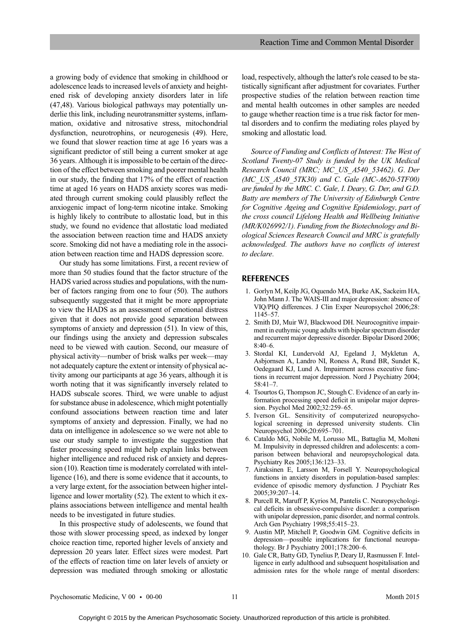a growing body of evidence that smoking in childhood or adolescence leads to increased levels of anxiety and heightened risk of developing anxiety disorders later in life (47,48). Various biological pathways may potentially underlie this link, including neurotransmitter systems, inflammation, oxidative and nitrosative stress, mitochondrial dysfunction, neurotrophins, or neurogenesis (49). Here, we found that slower reaction time at age 16 years was a significant predictor of still being a current smoker at age 36 years. Although it is impossible to be certain of the direction of the effect between smoking and poorer mental health in our study, the finding that 17% of the effect of reaction time at aged 16 years on HADS anxiety scores was mediated through current smoking could plausibly reflect the anxiogenic impact of long-term nicotine intake. Smoking is highly likely to contribute to allostatic load, but in this study, we found no evidence that allostatic load mediated the association between reaction time and HADS anxiety score. Smoking did not have a mediating role in the association between reaction time and HADS depression score.

Our study has some limitations. First, a recent review of more than 50 studies found that the factor structure of the HADS varied across studies and populations, with the number of factors ranging from one to four (50). The authors subsequently suggested that it might be more appropriate to view the HADS as an assessment of emotional distress given that it does not provide good separation between symptoms of anxiety and depression (51). In view of this, our findings using the anxiety and depression subscales need to be viewed with caution. Second, our measure of physical activity—number of brisk walks per week—may not adequately capture the extent or intensity of physical activity among our participants at age 36 years, although it is worth noting that it was significantly inversely related to HADS subscale scores. Third, we were unable to adjust for substance abuse in adolescence, which might potentially confound associations between reaction time and later symptoms of anxiety and depression. Finally, we had no data on intelligence in adolescence so we were not able to use our study sample to investigate the suggestion that faster processing speed might help explain links between higher intelligence and reduced risk of anxiety and depression (10). Reaction time is moderately correlated with intelligence (16), and there is some evidence that it accounts, to a very large extent, for the association between higher intelligence and lower mortality (52). The extent to which it explains associations between intelligence and mental health needs to be investigated in future studies.

In this prospective study of adolescents, we found that those with slower processing speed, as indexed by longer choice reaction time, reported higher levels of anxiety and depression 20 years later. Effect sizes were modest. Part of the effects of reaction time on later levels of anxiety or depression was mediated through smoking or allostatic load, respectively, although the latter's role ceased to be statistically significant after adjustment for covariates. Further prospective studies of the relation between reaction time and mental health outcomes in other samples are needed to gauge whether reaction time is a true risk factor for mental disorders and to confirm the mediating roles played by smoking and allostatic load.

Source of Funding and Conflicts of Interest: The West of Scotland Twenty-07 Study is funded by the UK Medical Research Council (MRC; MC\_US\_A540\_53462). G. Der (MC\_US\_A540\_5TK30) and C. Gale (MC-A620-5TF00) are funded by the MRC. C. Gale, I. Deary, G. Der, and G.D. Batty are members of The University of Edinburgh Centre for Cognitive Ageing and Cognitive Epidemiology, part of the cross council Lifelong Health and Wellbeing Initiative (MR/K026992/1). Funding from the Biotechnology and Biological Sciences Research Council and MRC is gratefully acknowledged. The authors have no conflicts of interest to declare.

### REFERENCES

- 1. Gorlyn M, Keilp JG, Oquendo MA, Burke AK, Sackeim HA, John Mann J. The WAIS-III and major depression: absence of VIQ/PIQ differences. J Clin Exper Neuropsychol 2006;28: 1145–57.
- 2. Smith DJ, Muir WJ, Blackwood DH. Neurocognitive impairment in euthymic young adults with bipolar spectrum disorder and recurrent major depressive disorder. Bipolar Disord 2006;  $8.40-6$
- 3. Stordal KI, Lundervold AJ, Egeland J, Mykletun A, Asbjornsen A, Landro NI, Roness A, Rund BR, Sundet K, Oedegaard KJ, Lund A. Impairment across executive functions in recurrent major depression. Nord J Psychiatry 2004; 58:41–7.
- 4. Tsourtos G, Thompson JC, Stough C. Evidence of an early information processing speed deficit in unipolar major depression. Psychol Med 2002;32:259–65.
- 5. Iverson GL. Sensitivity of computerized neuropsychological screening in depressed university students. Clin Neuropsychol 2006;20:695–701.
- 6. Cataldo MG, Nobile M, Lorusso ML, Battaglia M, Molteni M. Impulsivity in depressed children and adolescents: a comparison between behavioral and neuropsychological data. Psychiatry Res 2005;136:123–33.
- 7. Airaksinen E, Larsson M, Forsell Y. Neuropsychological functions in anxiety disorders in population-based samples: evidence of episodic memory dysfunction. J Psychiatr Res 2005;39:207–14.
- 8. Purcell R, Maruff P, Kyrios M, Pantelis C. Neuropsychological deficits in obsessive-compulsive disorder: a comparison with unipolar depression, panic disorder, and normal controls. Arch Gen Psychiatry 1998;55:415–23.
- 9. Austin MP, Mitchell P, Goodwin GM. Cognitive deficits in depression—possible implications for functional neuropathology. Br J Psychiatry 2001;178:200–6.
- 10. Gale CR, Batty GD, Tynelius P, Deary IJ, Rasmussen F. Intelligence in early adulthood and subsequent hospitalisation and admission rates for the whole range of mental disorders: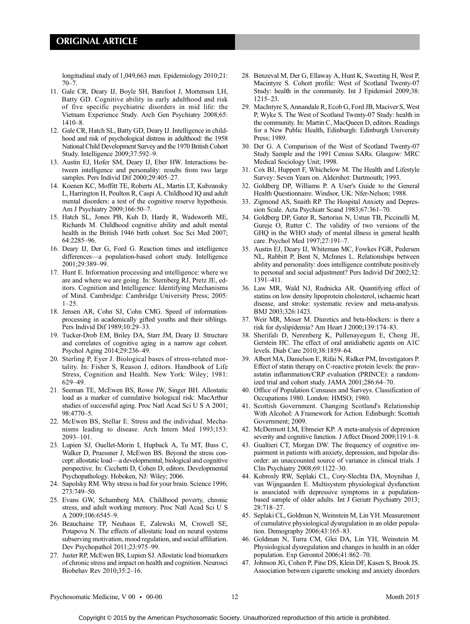longitudinal study of 1,049,663 men. Epidemiology 2010;21:  $70 - 7$ .

- 11. Gale CR, Deary IJ, Boyle SH, Barefoot J, Mortensen LH, Batty GD. Cognitive ability in early adulthood and risk of five specific psychiatric disorders in mid life: the Vietnam Experience Study. Arch Gen Psychiatry 2008;65: 1410–8.
- 12. Gale CR, Hatch SL, Batty GD, Deary IJ. Intelligence in childhood and risk of psychological distress in adulthood: the 1958 National Child Development Survey and the 1970 British Cohort Study. Intelligence 2009;37:592–9.
- 13. Austin EJ, Hofer SM, Deary IJ, Eber HW. Interactions between intelligence and personality: results from two large samples. Pers Individ Dif 2000;29:405–27.
- 14. Koenen KC, Moffitt TE, Roberts AL, Martin LT, Kubzansky L, Harrington H, Poulton R, Caspi A. Childhood IQ and adult mental disorders: a test of the cognitive reserve hypothesis. Am J Psychiatry 2009;166:50–7.
- 15. Hatch SL, Jones PB, Kuh D, Hardy R, Wadsworth ME, Richards M. Childhood cognitive ability and adult mental health in the British 1946 birth cohort. Soc Sci Med 2007; 64:2285–96.
- 16. Deary IJ, Der G, Ford G. Reaction times and intelligence differences—a population-based cohort study. Intelligence 2001;29:389–99.
- 17. Hunt E. Information processing and intelligence: where we are and where we are going. In: Sternberg RJ, Pretz JE, editors. Cognition and Intelligence: Identifying Mechanisms of Mind. Cambridge: Cambridge University Press; 2005: 1–25.
- 18. Jensen AR, Cohn SJ, Cohn CMG. Speed of informationprocessing in academically gifted youths and their siblings. Pers Individ Dif 1989;10:29–33.
- 19. Tucker-Drob EM, Briley DA, Starr JM, Deary IJ. Structure and correlates of cognitive aging in a narrow age cohort. Psychol Aging 2014;29:236–49.
- 20. Sterling P, Eyer J. Biological bases of stress-related mortality. In: Fisher S, Reason J, editors. Handbook of Life Stress, Cognition and Health. New York: Wiley; 1981: 629–49.
- 21. Seeman TE, McEwen BS, Rowe JW, Singer BH. Allostatic load as a marker of cumulative biological risk: MacArthur studies of successful aging. Proc Natl Acad Sci U S A 2001; 98:4770–5.
- 22. McEwen BS, Stellar E. Stress and the individual. Mechanisms leading to disease. Arch Intern Med 1993;153: 2093–101.
- 23. Lupien SJ, Ouellet-Morin I, Hupback A, Tu MT, Buss C, Walker D, Pruessner J, McEwen BS. Beyond the stress concept: allostatic load—a developmental, biological and cognitive perspective. In: Cicchetti D, Cohen D, editors. Developmental Psychopathology. Hoboken, NJ: Wiley; 2006.
- 24. Sapolsky RM. Why stress is bad for your brain. Science 1996; 273:749–50.
- 25. Evans GW, Schamberg MA. Childhood poverty, chronic stress, and adult working memory. Proc Natl Acad Sci U S A 2009;106:6545–9.
- 26. Beauchaine TP, Neuhaus E, Zalewski M, Crowell SE, Potapova N. The effects of allostatic load on neural systems subserving motivation, mood regulation, and social affiliation. Dev Psychopathol 2011;23:975–99.
- 27. Juster RP, McEwen BS, Lupien SJ. Allostatic load biomarkers of chronic stress and impact on health and cognition. Neurosci Biobehav Rev 2010;35:2–16.
- 28. Benzeval M, Der G, Ellaway A, Hunt K, Sweeting H, West P, Macintyre S. Cohort profile: West of Scotland Twenty-07 Study: health in the community. Int J Epidemiol 2009;38: 1215–23.
- 29. MacIntyre S, Annandale R, Ecob G, Ford JB, Maciver S, West P, Wyke S. The West of Scotland Twenty-07 Study: health in the community. In: Martin C, MacQueen D, editors. Readings for a New Public Health, Edinburgh: Edinburgh University Press; 1989.
- 30. Der G. A Comparison of the West of Scotland Twenty-07 Study Sample and the 1991 Census SARs. Glasgow: MRC Medical Sociology Unit; 1998.
- 31. Cox BJ, Huppert F, Whichelow M. The Health and Lifestyle Survey: Seven Years on. Aldershot: Dartmouth; 1993.
- 32. Goldberg DP, Williams P. A User's Guide to the General Health Questionnaire. Windsor, UK: Nfer-Nelson; 1988.
- 33. Zigmond AS, Snaith RP. The Hospital Anxiety and Depression Scale. Acta Psychiatr Scand 1983;67:361–70.
- 34. Goldberg DP, Gater R, Sartorius N, Ustun TB, Piccinelli M, Gureje O, Rutter C. The validity of two versions of the GHQ in the WHO study of mental illness in general health care. Psychol Med 1997;27:191–7.
- 35. Austin EJ, Deary IJ, Whiteman MC, Fowkes FGR, Pedersen NL, Rabbitt P, Bent N, McInnes L. Relationships between ability and personality: does intelligence contribute positively to personal and social adjustment? Pers Individ Dif 2002;32: 1391–411.
- 36. Law MR, Wald NJ, Rudnicka AR. Quantifying effect of statins on low density lipoprotein cholesterol, ischaemic heart disease, and stroke: systematic review and meta-analysis. BMJ 2003;326:1423.
- 37. Weir MR, Moser M. Diuretics and beta-blockers: is there a risk for dyslipidemia? Am Heart J 2000;139:174–83.
- 38. Sherifali D, Nerenberg K, Pullenayegum E, Cheng JE, Gerstein HC. The effect of oral antidiabetic agents on A1C levels. Diab Care 2010;38:1859–64.
- 39. Albert MA, Danielson E, Rifai N, Ridker PM, Investigators P. Effect of statin therapy on C-reactive protein levels: the pravastatin inflammation/CRP evaluation (PRINCE): a randomized trial and cohort study. JAMA 2001;286:64–70.
- 40. Office of Population Censuses and Surveys. Classification of Occupations 1980. London: HMSO; 1980.
- 41. Scottish Government. Changing Scotland's Relationship With Alcohol: A Framework for Action. Edinburgh: Scottish Government; 2009.
- 42. McDermott LM, Ebmeier KP. A meta-analysis of depression severity and cognitive function. J Affect Disord 2009;119:1–8.
- 43. Gualtieri CT, Morgan DW. The frequency of cognitive impairment in patients with anxiety, depression, and bipolar disorder: an unaccounted source of variance in clinical trials. J Clin Psychiatry 2008;69:1122–30.
- 44. Kobrosly RW, Seplaki CL, Cory-Slechta DA, Moynihan J, van Wijngaarden E. Multisystem physiological dysfunction is associated with depressive symptoms in a populationbased sample of older adults. Int J Geriatr Psychiatry 2013; 28:718–27.
- 45. Seplaki CL, Goldman N, Weinstein M, Lin YH. Measurement of cumulative physiological dysregulation in an older population. Demography 2006;43:165–83.
- 46. Goldman N, Turra CM, Glei DA, Lin YH, Weinstein M. Physiological dysregulation and changes in health in an older population. Exp Gerontol 2006;41:862–70.
- 47. Johnson JG, Cohen P, Pine DS, Klein DF, Kasen S, Brook JS. Association between cigarette smoking and anxiety disorders